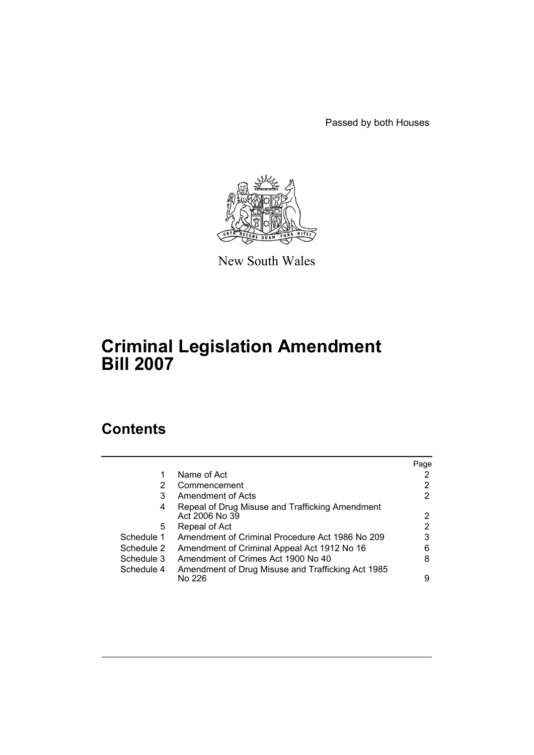Passed by both Houses



New South Wales

# **Criminal Legislation Amendment Bill 2007**

# **Contents**

|            |                                                                   | Page |
|------------|-------------------------------------------------------------------|------|
| 1          | Name of Act                                                       |      |
| 2          | Commencement                                                      | 2    |
| 3          | Amendment of Acts                                                 | 2    |
| 4          | Repeal of Drug Misuse and Trafficking Amendment<br>Act 2006 No 39 | 2    |
| 5.         | Repeal of Act                                                     | 2    |
| Schedule 1 | Amendment of Criminal Procedure Act 1986 No 209                   | 3    |
| Schedule 2 | Amendment of Criminal Appeal Act 1912 No 16                       | 6    |
| Schedule 3 | Amendment of Crimes Act 1900 No 40                                | 8    |
| Schedule 4 | Amendment of Drug Misuse and Trafficking Act 1985<br>No 226       | 9    |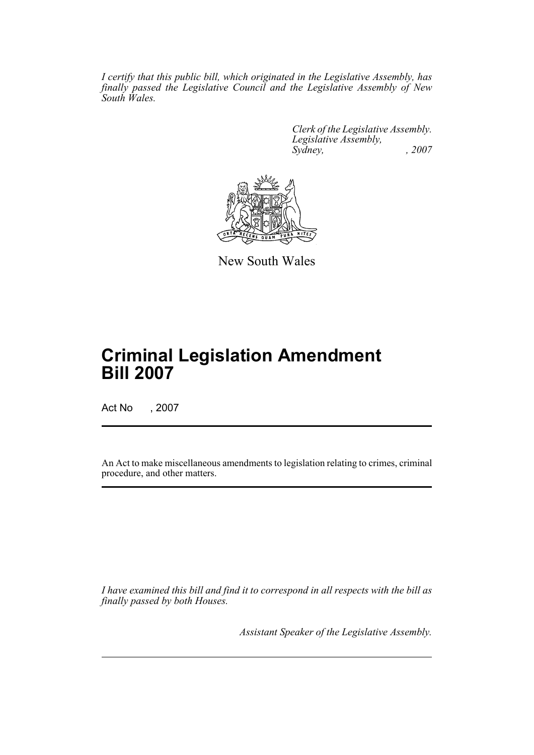*I certify that this public bill, which originated in the Legislative Assembly, has finally passed the Legislative Council and the Legislative Assembly of New South Wales.*

> *Clerk of the Legislative Assembly. Legislative Assembly, Sydney, , 2007*



New South Wales

# **Criminal Legislation Amendment Bill 2007**

Act No , 2007

An Act to make miscellaneous amendments to legislation relating to crimes, criminal procedure, and other matters.

*I have examined this bill and find it to correspond in all respects with the bill as finally passed by both Houses.*

*Assistant Speaker of the Legislative Assembly.*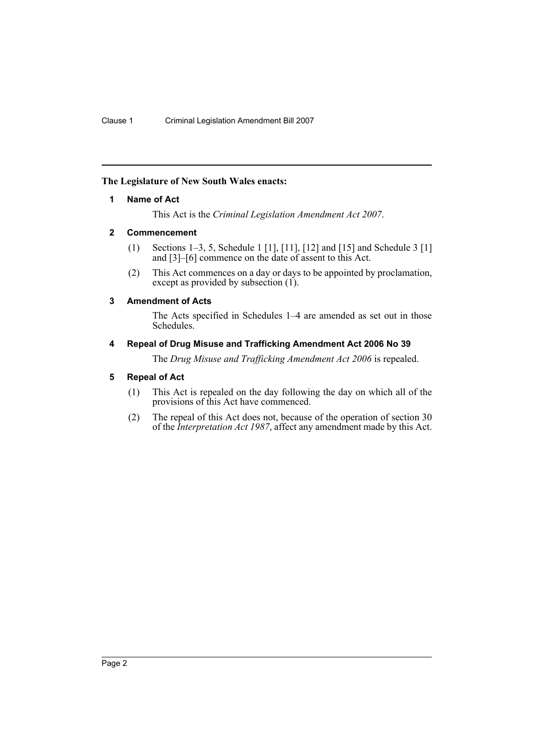# <span id="page-2-0"></span>**The Legislature of New South Wales enacts:**

# **1 Name of Act**

This Act is the *Criminal Legislation Amendment Act 2007*.

# <span id="page-2-1"></span>**2 Commencement**

- (1) Sections 1–3, 5, Schedule 1 [1], [11], [12] and [15] and Schedule 3 [1] and [3]–[6] commence on the date of assent to this Act.
- (2) This Act commences on a day or days to be appointed by proclamation, except as provided by subsection  $(1)$ .

# <span id="page-2-2"></span>**3 Amendment of Acts**

The Acts specified in Schedules 1–4 are amended as set out in those Schedules.

# <span id="page-2-3"></span>**4 Repeal of Drug Misuse and Trafficking Amendment Act 2006 No 39**

The *Drug Misuse and Trafficking Amendment Act 2006* is repealed.

# <span id="page-2-4"></span>**5 Repeal of Act**

- (1) This Act is repealed on the day following the day on which all of the provisions of this Act have commenced.
- (2) The repeal of this Act does not, because of the operation of section 30 of the *Interpretation Act 1987*, affect any amendment made by this Act.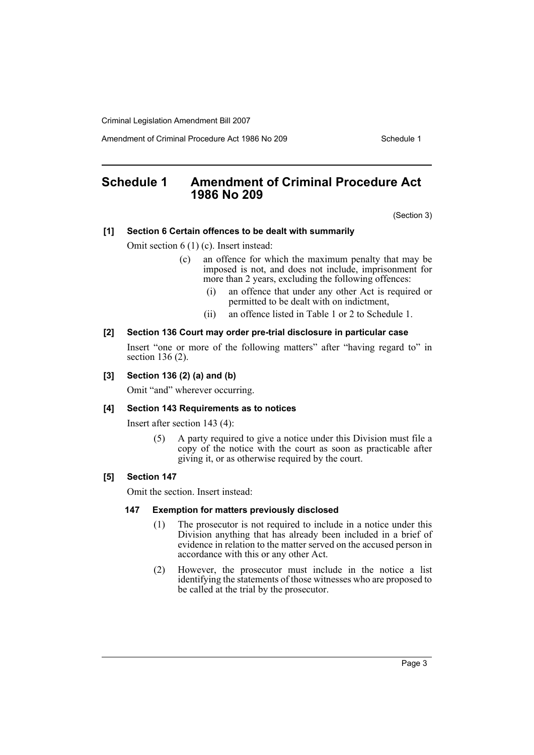Amendment of Criminal Procedure Act 1986 No 209

# <span id="page-3-0"></span>**Schedule 1 Amendment of Criminal Procedure Act 1986 No 209**

(Section 3)

# **[1] Section 6 Certain offences to be dealt with summarily**

Omit section 6 (1) (c). Insert instead:

- (c) an offence for which the maximum penalty that may be imposed is not, and does not include, imprisonment for more than 2 years, excluding the following offences:
	- (i) an offence that under any other Act is required or permitted to be dealt with on indictment,
	- (ii) an offence listed in Table 1 or 2 to Schedule 1.

# **[2] Section 136 Court may order pre-trial disclosure in particular case**

Insert "one or more of the following matters" after "having regard to" in section 136 (2).

# **[3] Section 136 (2) (a) and (b)**

Omit "and" wherever occurring.

#### **[4] Section 143 Requirements as to notices**

Insert after section 143 (4):

(5) A party required to give a notice under this Division must file a copy of the notice with the court as soon as practicable after giving it, or as otherwise required by the court.

# **[5] Section 147**

Omit the section. Insert instead:

#### **147 Exemption for matters previously disclosed**

- (1) The prosecutor is not required to include in a notice under this Division anything that has already been included in a brief of evidence in relation to the matter served on the accused person in accordance with this or any other Act.
- (2) However, the prosecutor must include in the notice a list identifying the statements of those witnesses who are proposed to be called at the trial by the prosecutor.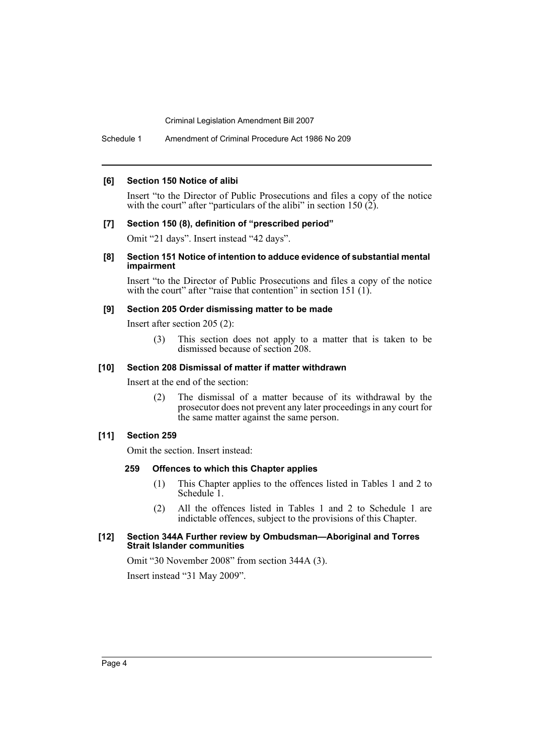Schedule 1 Amendment of Criminal Procedure Act 1986 No 209

#### **[6] Section 150 Notice of alibi**

Insert "to the Director of Public Prosecutions and files a copy of the notice with the court" after "particulars of the alibi" in section  $150 (2)$ .

#### **[7] Section 150 (8), definition of "prescribed period"**

Omit "21 days". Insert instead "42 days".

#### **[8] Section 151 Notice of intention to adduce evidence of substantial mental impairment**

Insert "to the Director of Public Prosecutions and files a copy of the notice with the court" after "raise that contention" in section 151 (1).

#### **[9] Section 205 Order dismissing matter to be made**

Insert after section 205 (2):

(3) This section does not apply to a matter that is taken to be dismissed because of section 208.

#### **[10] Section 208 Dismissal of matter if matter withdrawn**

Insert at the end of the section:

(2) The dismissal of a matter because of its withdrawal by the prosecutor does not prevent any later proceedings in any court for the same matter against the same person.

#### **[11] Section 259**

Omit the section. Insert instead:

#### **259 Offences to which this Chapter applies**

- (1) This Chapter applies to the offences listed in Tables 1 and 2 to Schedule<sup>1</sup>.
- (2) All the offences listed in Tables 1 and 2 to Schedule 1 are indictable offences, subject to the provisions of this Chapter.

#### **[12] Section 344A Further review by Ombudsman—Aboriginal and Torres Strait Islander communities**

Omit "30 November 2008" from section 344A (3). Insert instead "31 May 2009".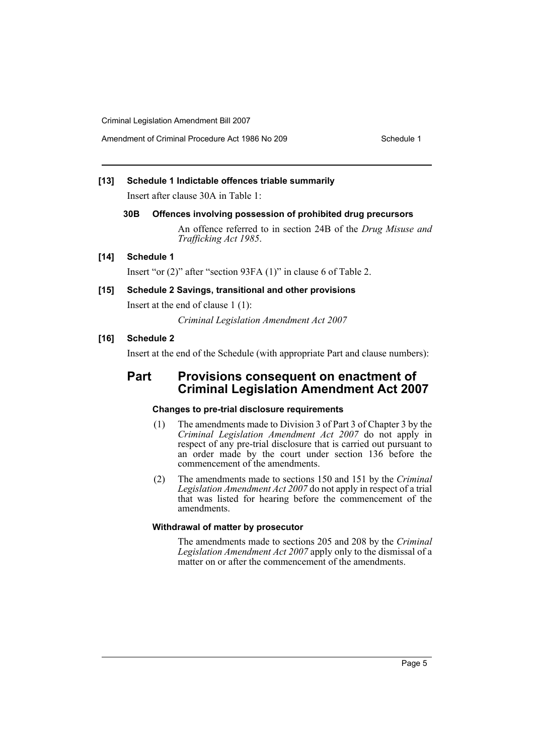Amendment of Criminal Procedure Act 1986 No 209

# **[13] Schedule 1 Indictable offences triable summarily**

Insert after clause 30A in Table 1:

#### **30B Offences involving possession of prohibited drug precursors**

An offence referred to in section 24B of the *Drug Misuse and Trafficking Act 1985*.

## **[14] Schedule 1**

Insert "or (2)" after "section 93FA (1)" in clause 6 of Table 2.

# **[15] Schedule 2 Savings, transitional and other provisions**

Insert at the end of clause 1 (1):

*Criminal Legislation Amendment Act 2007*

# **[16] Schedule 2**

Insert at the end of the Schedule (with appropriate Part and clause numbers):

# **Part Provisions consequent on enactment of Criminal Legislation Amendment Act 2007**

#### **Changes to pre-trial disclosure requirements**

- (1) The amendments made to Division 3 of Part 3 of Chapter 3 by the *Criminal Legislation Amendment Act 2007* do not apply in respect of any pre-trial disclosure that is carried out pursuant to an order made by the court under section 136 before the commencement of the amendments.
- (2) The amendments made to sections 150 and 151 by the *Criminal Legislation Amendment Act 2007* do not apply in respect of a trial that was listed for hearing before the commencement of the amendments.

# **Withdrawal of matter by prosecutor**

The amendments made to sections 205 and 208 by the *Criminal Legislation Amendment Act 2007* apply only to the dismissal of a matter on or after the commencement of the amendments.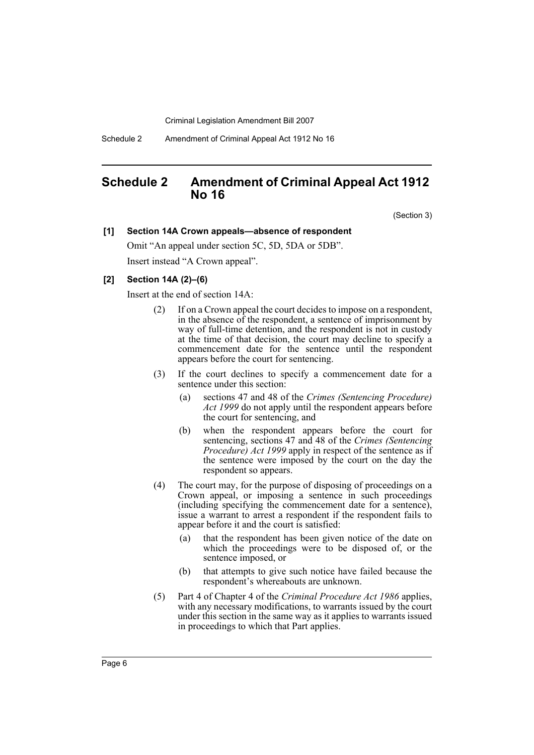Schedule 2 Amendment of Criminal Appeal Act 1912 No 16

# <span id="page-6-0"></span>**Schedule 2 Amendment of Criminal Appeal Act 1912 No 16**

(Section 3)

# **[1] Section 14A Crown appeals—absence of respondent**

Omit "An appeal under section 5C, 5D, 5DA or 5DB". Insert instead "A Crown appeal".

# **[2] Section 14A (2)–(6)**

Insert at the end of section 14A:

- (2) If on a Crown appeal the court decides to impose on a respondent, in the absence of the respondent, a sentence of imprisonment by way of full-time detention, and the respondent is not in custody at the time of that decision, the court may decline to specify a commencement date for the sentence until the respondent appears before the court for sentencing.
- (3) If the court declines to specify a commencement date for a sentence under this section:
	- (a) sections 47 and 48 of the *Crimes (Sentencing Procedure) Act 1999* do not apply until the respondent appears before the court for sentencing, and
	- (b) when the respondent appears before the court for sentencing, sections 47 and 48 of the *Crimes (Sentencing Procedure) Act 1999* apply in respect of the sentence as if the sentence were imposed by the court on the day the respondent so appears.
- (4) The court may, for the purpose of disposing of proceedings on a Crown appeal, or imposing a sentence in such proceedings (including specifying the commencement date for a sentence), issue a warrant to arrest a respondent if the respondent fails to appear before it and the court is satisfied:
	- (a) that the respondent has been given notice of the date on which the proceedings were to be disposed of, or the sentence imposed, or
	- (b) that attempts to give such notice have failed because the respondent's whereabouts are unknown.
- (5) Part 4 of Chapter 4 of the *Criminal Procedure Act 1986* applies, with any necessary modifications, to warrants issued by the court under this section in the same way as it applies to warrants issued in proceedings to which that Part applies.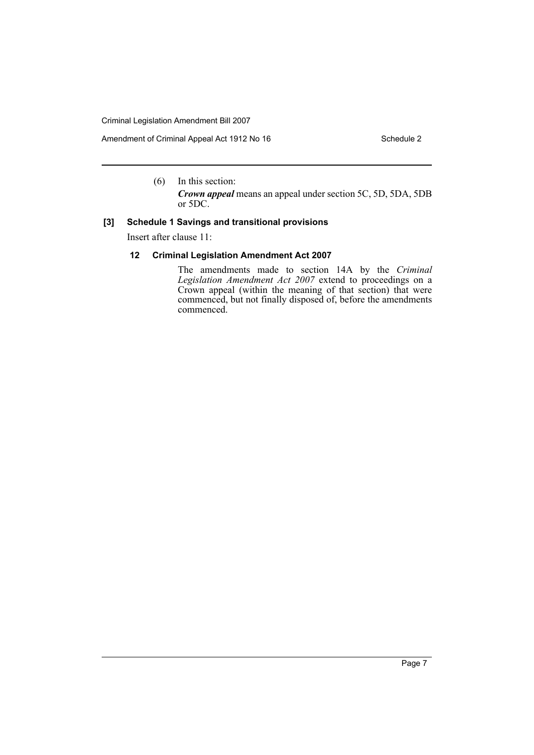Amendment of Criminal Appeal Act 1912 No 16 Schedule 2 Schedule 2

(6) In this section:

*Crown appeal* means an appeal under section 5C, 5D, 5DA, 5DB or 5DC.

# **[3] Schedule 1 Savings and transitional provisions**

Insert after clause 11:

# **12 Criminal Legislation Amendment Act 2007**

The amendments made to section 14A by the *Criminal Legislation Amendment Act 2007* extend to proceedings on a Crown appeal (within the meaning of that section) that were commenced, but not finally disposed of, before the amendments commenced.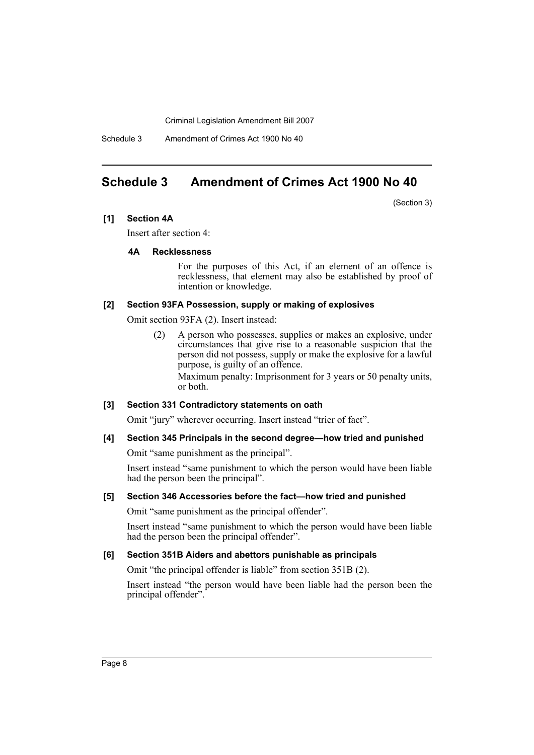Schedule 3 Amendment of Crimes Act 1900 No 40

# <span id="page-8-0"></span>**Schedule 3 Amendment of Crimes Act 1900 No 40**

(Section 3)

# **[1] Section 4A**

Insert after section 4:

#### **4A Recklessness**

For the purposes of this Act, if an element of an offence is recklessness, that element may also be established by proof of intention or knowledge.

# **[2] Section 93FA Possession, supply or making of explosives**

Omit section 93FA (2). Insert instead:

(2) A person who possesses, supplies or makes an explosive, under circumstances that give rise to a reasonable suspicion that the person did not possess, supply or make the explosive for a lawful purpose, is guilty of an offence.

Maximum penalty: Imprisonment for 3 years or 50 penalty units, or both.

#### **[3] Section 331 Contradictory statements on oath**

Omit "jury" wherever occurring. Insert instead "trier of fact".

## **[4] Section 345 Principals in the second degree—how tried and punished**

Omit "same punishment as the principal".

Insert instead "same punishment to which the person would have been liable had the person been the principal".

#### **[5] Section 346 Accessories before the fact—how tried and punished**

Omit "same punishment as the principal offender".

Insert instead "same punishment to which the person would have been liable had the person been the principal offender".

#### **[6] Section 351B Aiders and abettors punishable as principals**

Omit "the principal offender is liable" from section 351B (2).

Insert instead "the person would have been liable had the person been the principal offender".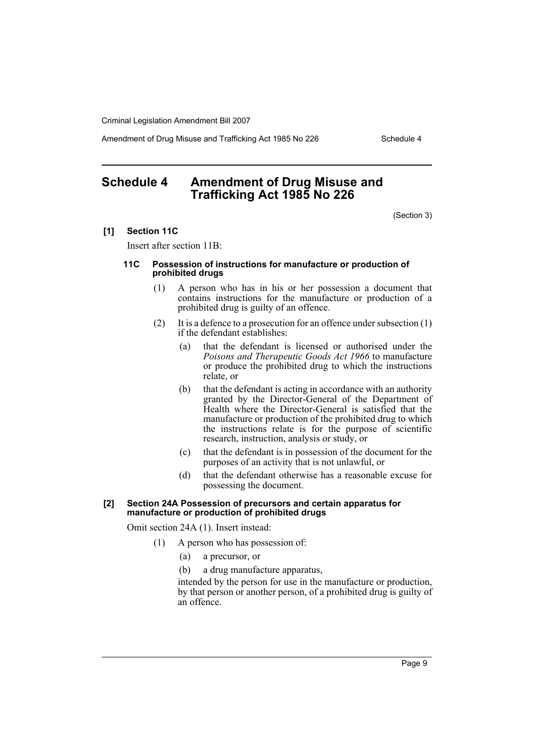Amendment of Drug Misuse and Trafficking Act 1985 No 226 Schedule 4

# <span id="page-9-0"></span>**Schedule 4 Amendment of Drug Misuse and Trafficking Act 1985 No 226**

(Section 3)

#### **[1] Section 11C**

Insert after section 11B:

#### **11C Possession of instructions for manufacture or production of prohibited drugs**

- (1) A person who has in his or her possession a document that contains instructions for the manufacture or production of a prohibited drug is guilty of an offence.
- (2) It is a defence to a prosecution for an offence under subsection (1) if the defendant establishes:
	- (a) that the defendant is licensed or authorised under the *Poisons and Therapeutic Goods Act 1966* to manufacture or produce the prohibited drug to which the instructions relate, or
	- (b) that the defendant is acting in accordance with an authority granted by the Director-General of the Department of Health where the Director-General is satisfied that the manufacture or production of the prohibited drug to which the instructions relate is for the purpose of scientific research, instruction, analysis or study, or
	- (c) that the defendant is in possession of the document for the purposes of an activity that is not unlawful, or
	- (d) that the defendant otherwise has a reasonable excuse for possessing the document.

#### **[2] Section 24A Possession of precursors and certain apparatus for manufacture or production of prohibited drugs**

Omit section 24A (1). Insert instead:

- (1) A person who has possession of:
	- (a) a precursor, or
	- (b) a drug manufacture apparatus,

intended by the person for use in the manufacture or production, by that person or another person, of a prohibited drug is guilty of an offence.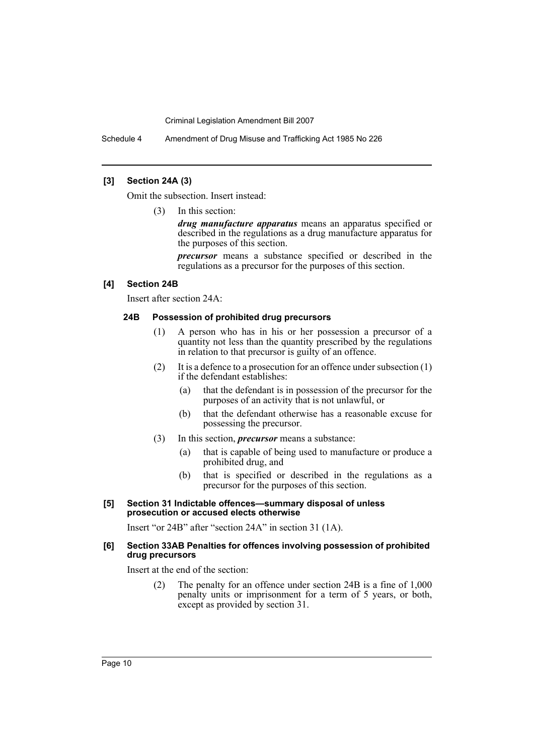Schedule 4 Amendment of Drug Misuse and Trafficking Act 1985 No 226

# **[3] Section 24A (3)**

Omit the subsection. Insert instead:

(3) In this section:

*drug manufacture apparatus* means an apparatus specified or described in the regulations as a drug manufacture apparatus for the purposes of this section.

*precursor* means a substance specified or described in the regulations as a precursor for the purposes of this section.

#### **[4] Section 24B**

Insert after section 24A:

#### **24B Possession of prohibited drug precursors**

- (1) A person who has in his or her possession a precursor of a quantity not less than the quantity prescribed by the regulations in relation to that precursor is guilty of an offence.
- (2) It is a defence to a prosecution for an offence under subsection (1) if the defendant establishes:
	- (a) that the defendant is in possession of the precursor for the purposes of an activity that is not unlawful, or
	- (b) that the defendant otherwise has a reasonable excuse for possessing the precursor.
- (3) In this section, *precursor* means a substance:
	- (a) that is capable of being used to manufacture or produce a prohibited drug, and
	- (b) that is specified or described in the regulations as a precursor for the purposes of this section.

#### **[5] Section 31 Indictable offences—summary disposal of unless prosecution or accused elects otherwise**

Insert "or 24B" after "section 24A" in section 31 (1A).

#### **[6] Section 33AB Penalties for offences involving possession of prohibited drug precursors**

Insert at the end of the section:

(2) The penalty for an offence under section 24B is a fine of 1,000 penalty units or imprisonment for a term of 5 years, or both, except as provided by section 31.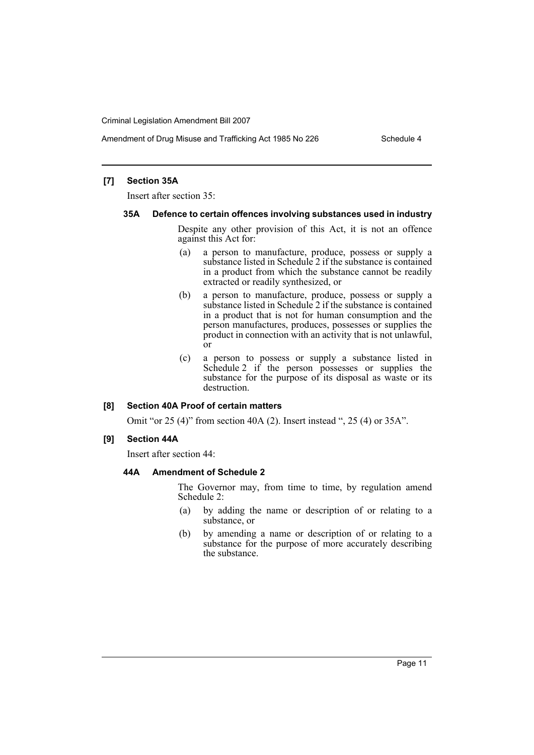Amendment of Drug Misuse and Trafficking Act 1985 No 226 Schedule 4

# **[7] Section 35A**

Insert after section 35:

#### **35A Defence to certain offences involving substances used in industry**

Despite any other provision of this Act, it is not an offence against this Act for:

- (a) a person to manufacture, produce, possess or supply a substance listed in Schedule 2 if the substance is contained in a product from which the substance cannot be readily extracted or readily synthesized, or
- (b) a person to manufacture, produce, possess or supply a substance listed in Schedule 2 if the substance is contained in a product that is not for human consumption and the person manufactures, produces, possesses or supplies the product in connection with an activity that is not unlawful, or
- (c) a person to possess or supply a substance listed in Schedule 2 if the person possesses or supplies the substance for the purpose of its disposal as waste or its destruction.

#### **[8] Section 40A Proof of certain matters**

Omit "or 25 (4)" from section 40A (2). Insert instead ", 25 (4) or 35A".

#### **[9] Section 44A**

Insert after section 44:

## **44A Amendment of Schedule 2**

The Governor may, from time to time, by regulation amend Schedule 2:

- (a) by adding the name or description of or relating to a substance, or
- (b) by amending a name or description of or relating to a substance for the purpose of more accurately describing the substance.